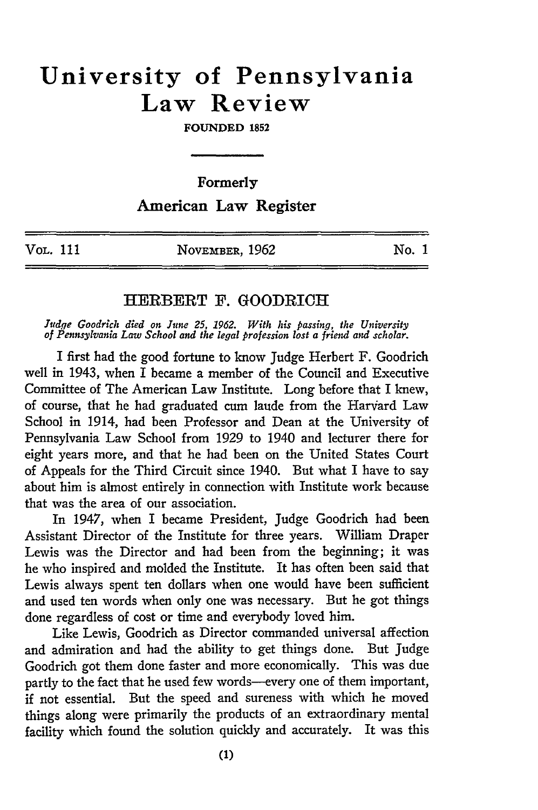## **University of Pennsylvania Law Review**

**FOUNDED 1852**

Formerly

## American Law Register

| Vol. 111 | NOVEMBER, 1962 | No. 1 |
|----------|----------------|-------|
|          |                |       |

## HERBERT F. GOODRICH

*Judgqe Goodrich died on June 25, 1962. With his passing, the University of Pennsylvania Law School and the legal profession lost a friend and scholar.*

I first had the good fortune to know Judge Herbert F. Goodrich well in 1943, when I became a member of the Council and Executive Committee of The American Law Institute. Long before that I knew, of course, that he had graduated cum laude from the Harvard Law School in 1914, had been Professor and Dean at the University of Pennsylvania Law School from 1929 to 1940 and lecturer there for eight years more, and that he had been on the United States Court of Appeals for the Third Circuit since 1940. But what I have to say about him is almost entirely in connection with Institute work because that was the area of our association.

In 1947, when I became President, Judge Goodrich had been Assistant Director of the Institute for three years. William Draper Lewis was the Director and had been from the beginning; it was he who inspired and molded the Institute. It has often been said that Lewis always spent ten dollars when one would have been sufficient and used ten words when only one was necessary. But he got things done regardless of cost or time and everybody loved him.

Like Lewis, Goodrich as Director commanded universal affection and admiration and had the ability to get things done. But Judge Goodrich got them done faster and more economically. This was due partly to the fact that he used few words-every one of them important, if not essential. But the speed and sureness with which he moved things along were primarily the products of an extraordinary mental facility which found the solution quickly and accurately. It was this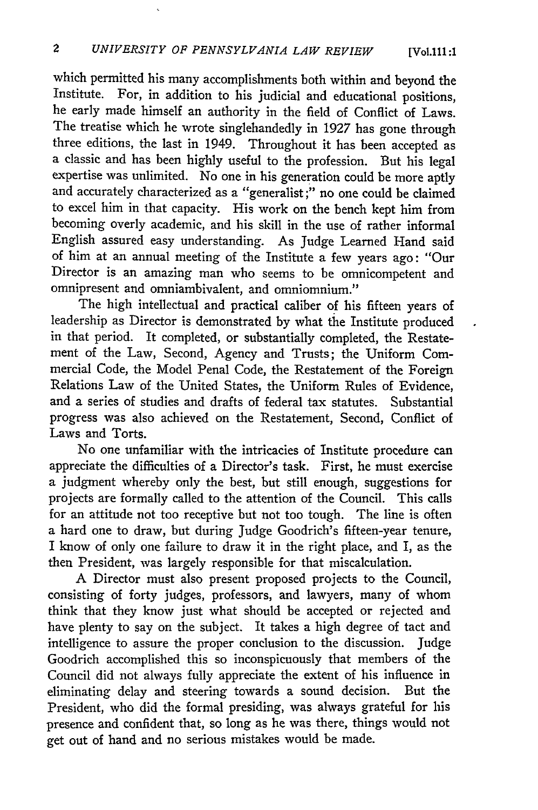which permitted his many accomplishments both within and beyond the Institute. For, in addition to his judicial and educational positions, he early made himself an authority in the field of Conflict of Laws. The treatise which he wrote singlehandedly in 1927 has gone through three editions, the last in 1949. Throughout it has been accepted as a classic and has been highly useful to the profession. But his legal expertise was unlimited. No one in his generation could be more aptly and accurately characterized as a "generalist ;" no one could be claimed to excel him in that capacity. His work on the bench kept him from becoming overly academic, and his skill in the use of rather informal English assured easy understanding. As Judge Learned Hand said of him at an annual meeting of the Institute a few years ago: "Our Director is an amazing man who seems to be omnicompetent and omnipresent and omniambivalent, and omniomnium."

The high intellectual and practical caliber of his fifteen years of leadership as Director is demonstrated **by** what the Institute produced in that period. It completed, or substantially completed, the Restatement of the Law, Second, Agency and Trusts; the Uniform Commercial Code, the Model Penal Code, the Restatement of the Foreign Relations Law of the United States, the Uniform Rules of Evidence, and a series of studies and drafts of federal tax statutes. Substantial progress was also achieved on the Restatement, Second, Conflict of Laws and Torts.

No one unfamiliar with the intricacies of Institute procedure can appreciate the difficulties of a Director's task. First, he must exercise a judgment whereby only the best, but still enough, suggestions for projects are formally called to the attention of the Council. This calls for an attitude not too receptive but not too tough. The line is often a hard one to draw, but during Judge Goodrich's fifteen-year tenure, I know of only one failure to draw it in the right place, and I, as the then President, was largely responsible for that miscalculation.

A Director must also present proposed projects to the Council, consisting of forty judges, professors, and lawyers, many of whom think that they know just what should be accepted or rejected and have plenty to say on the subject. It takes a high degree of tact and intelligence to assure the proper conclusion to the discussion. Judge Goodrich accomplished this so inconspicuously that members of the Council did not always fully appreciate the extent of his influence in eliminating delay and steering towards a sound decision. But the President, who did the formal presiding, was always grateful for his presence and confident that, so long as he was there, things would not get out of hand and no serious mistakes would be made.